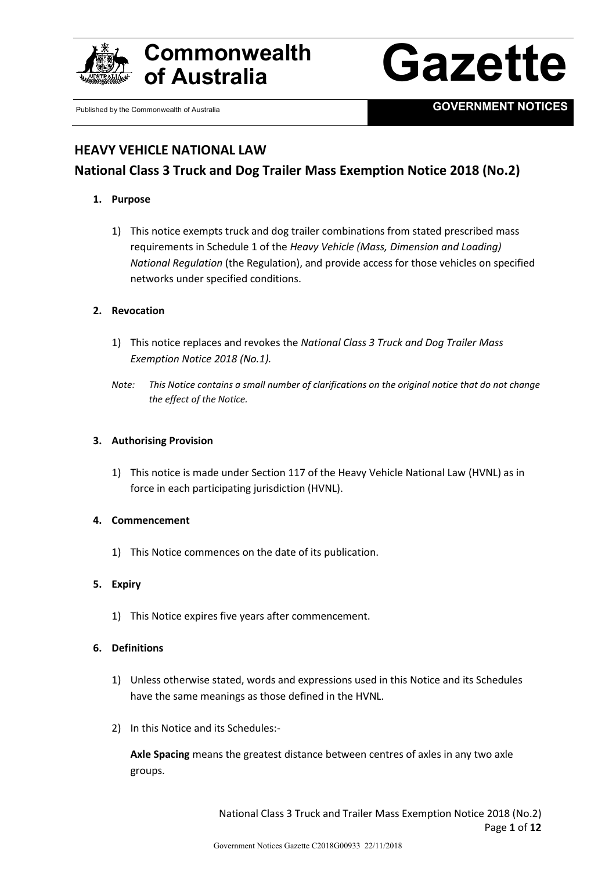





Published by the Commonwealth of Australia **GOVERNMENT NOTICES** 

# **HEAVY VEHICLE NATIONAL LAW**

# **National Class 3 Truck and Dog Trailer Mass Exemption Notice 2018 (No.2)**

## **1. Purpose**

1) This notice exempts truck and dog trailer combinations from stated prescribed mass requirements in Schedule 1 of the *Heavy Vehicle (Mass, Dimension and Loading) National Regulation* (the Regulation), and provide access for those vehicles on specified networks under specified conditions.

## **2. Revocation**

- 1) This notice replaces and revokes the *National Class 3 Truck and Dog Trailer Mass Exemption Notice 2018 (No.1).*
- *Note: This Notice contains a small number of clarifications on the original notice that do not change the effect of the Notice.*

## **3. Authorising Provision**

1) This notice is made under Section 117 of the Heavy Vehicle National Law (HVNL) as in force in each participating jurisdiction (HVNL).

#### **4. Commencement**

1) This Notice commences on the date of its publication.

## **5. Expiry**

1) This Notice expires five years after commencement.

#### **6. Definitions**

- 1) Unless otherwise stated, words and expressions used in this Notice and its Schedules have the same meanings as those defined in the HVNL.
- 2) In this Notice and its Schedules:-

**Axle Spacing** means the greatest distance between centres of axles in any two axle groups.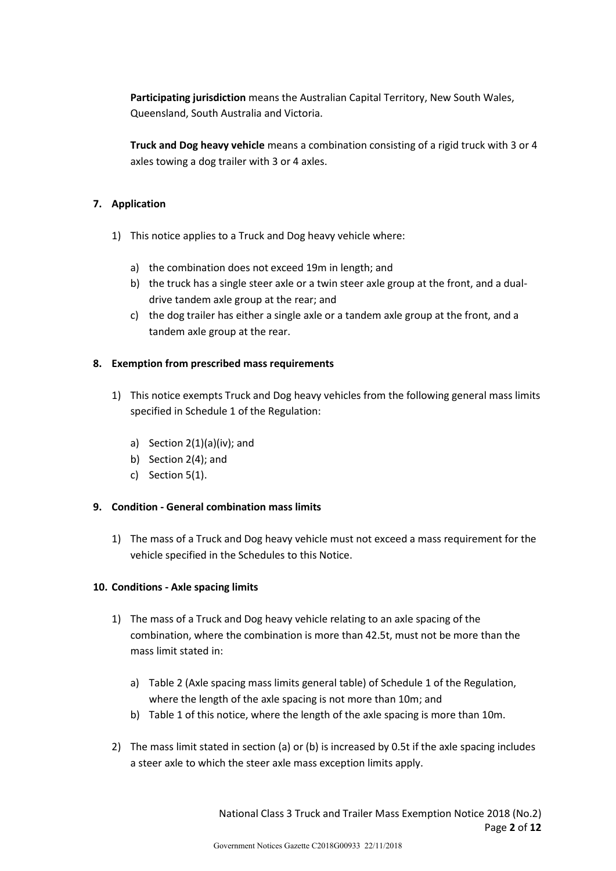**Participating jurisdiction** means the Australian Capital Territory, New South Wales, Queensland, South Australia and Victoria.

**Truck and Dog heavy vehicle** means a combination consisting of a rigid truck with 3 or 4 axles towing a dog trailer with 3 or 4 axles.

## **7. Application**

- 1) This notice applies to a Truck and Dog heavy vehicle where:
	- a) the combination does not exceed 19m in length; and
	- b) the truck has a single steer axle or a twin steer axle group at the front, and a dualdrive tandem axle group at the rear; and
	- c) the dog trailer has either a single axle or a tandem axle group at the front, and a tandem axle group at the rear.

## **8. Exemption from prescribed mass requirements**

- 1) This notice exempts Truck and Dog heavy vehicles from the following general mass limits specified in Schedule 1 of the Regulation:
	- a) Section 2(1)(a)(iv); and
	- b) Section 2(4); and
	- c) Section 5(1).

#### **9. Condition - General combination mass limits**

1) The mass of a Truck and Dog heavy vehicle must not exceed a mass requirement for the vehicle specified in the Schedules to this Notice.

#### **10. Conditions - Axle spacing limits**

- 1) The mass of a Truck and Dog heavy vehicle relating to an axle spacing of the combination, where the combination is more than 42.5t, must not be more than the mass limit stated in:
	- a) Table 2 (Axle spacing mass limits general table) of Schedule 1 of the Regulation, where the length of the axle spacing is not more than 10m; and
	- b) Table 1 of this notice, where the length of the axle spacing is more than 10m.
- 2) The mass limit stated in section (a) or (b) is increased by 0.5t if the axle spacing includes a steer axle to which the steer axle mass exception limits apply.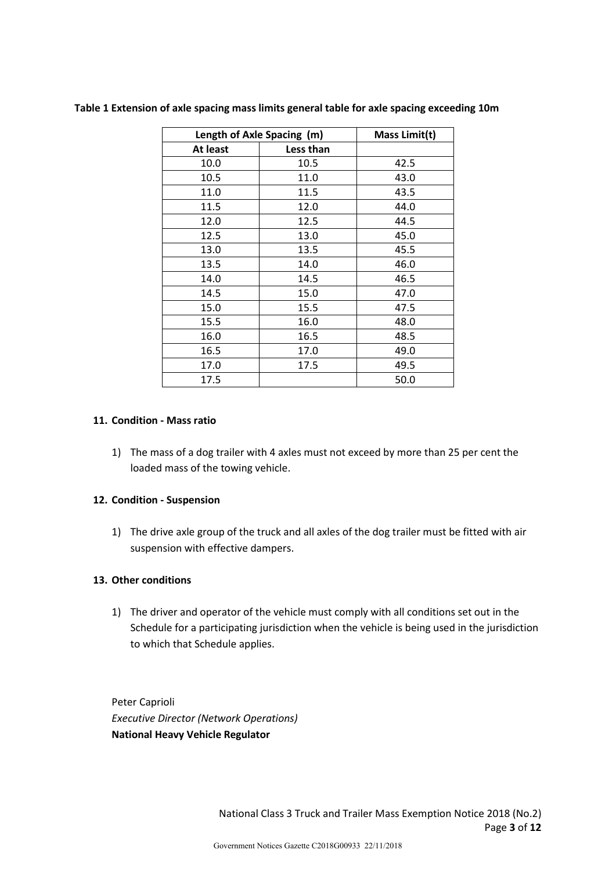| Length of Axle Spacing (m) |           | Mass Limit(t) |
|----------------------------|-----------|---------------|
| At least                   | Less than |               |
| 10.0                       | 10.5      | 42.5          |
| 10.5                       | 11.0      | 43.0          |
| 11.0                       | 11.5      | 43.5          |
| 11.5                       | 12.0      | 44.0          |
| 12.0                       | 12.5      | 44.5          |
| 12.5                       | 13.0      | 45.0          |
| 13.0                       | 13.5      | 45.5          |
| 13.5                       | 14.0      | 46.0          |
| 14.0                       | 14.5      | 46.5          |
| 14.5                       | 15.0      | 47.0          |
| 15.0                       | 15.5      | 47.5          |
| 15.5                       | 16.0      | 48.0          |
| 16.0                       | 16.5      | 48.5          |
| 16.5                       | 17.0      | 49.0          |
| 17.0                       | 17.5      | 49.5          |
| 17.5                       |           | 50.0          |

**Table 1 Extension of axle spacing mass limits general table for axle spacing exceeding 10m**

#### **11. Condition - Mass ratio**

1) The mass of a dog trailer with 4 axles must not exceed by more than 25 per cent the loaded mass of the towing vehicle.

#### **12. Condition - Suspension**

1) The drive axle group of the truck and all axles of the dog trailer must be fitted with air suspension with effective dampers.

## **13. Other conditions**

1) The driver and operator of the vehicle must comply with all conditions set out in the Schedule for a participating jurisdiction when the vehicle is being used in the jurisdiction to which that Schedule applies.

Peter Caprioli *Executive Director (Network Operations)* **National Heavy Vehicle Regulator**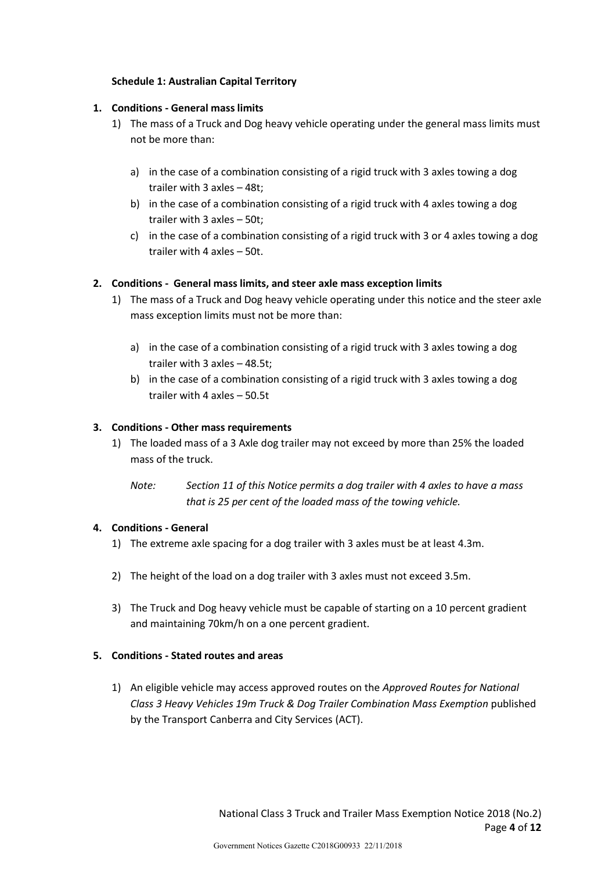## **Schedule 1: Australian Capital Territory**

## **1. Conditions - General mass limits**

- 1) The mass of a Truck and Dog heavy vehicle operating under the general mass limits must not be more than:
	- a) in the case of a combination consisting of a rigid truck with 3 axles towing a dog trailer with 3 axles – 48t;
	- b) in the case of a combination consisting of a rigid truck with 4 axles towing a dog trailer with 3 axles – 50t;
	- c) in the case of a combination consisting of a rigid truck with 3 or 4 axles towing a dog trailer with 4 axles – 50t.

## **2. Conditions - General mass limits, and steer axle mass exception limits**

- 1) The mass of a Truck and Dog heavy vehicle operating under this notice and the steer axle mass exception limits must not be more than:
	- a) in the case of a combination consisting of a rigid truck with 3 axles towing a dog trailer with 3 axles – 48.5t;
	- b) in the case of a combination consisting of a rigid truck with 3 axles towing a dog trailer with 4 axles – 50.5t

## **3. Conditions - Other mass requirements**

- 1) The loaded mass of a 3 Axle dog trailer may not exceed by more than 25% the loaded mass of the truck.
	- *Note: Section 11 of this Notice permits a dog trailer with 4 axles to have a mass that is 25 per cent of the loaded mass of the towing vehicle.*

#### **4. Conditions - General**

- 1) The extreme axle spacing for a dog trailer with 3 axles must be at least 4.3m.
- 2) The height of the load on a dog trailer with 3 axles must not exceed 3.5m.
- 3) The Truck and Dog heavy vehicle must be capable of starting on a 10 percent gradient and maintaining 70km/h on a one percent gradient.

## **5. Conditions - Stated routes and areas**

1) An eligible vehicle may access approved routes on the *Approved Routes for National Class 3 Heavy Vehicles 19m Truck & Dog Trailer Combination Mass Exemption* published by the Transport Canberra and City Services (ACT).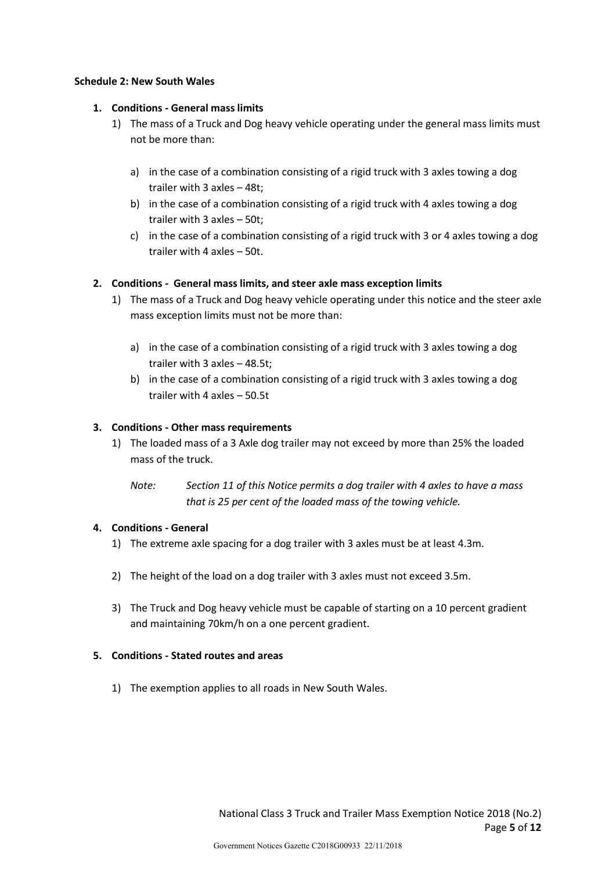#### **Schedule 2: New South Wales**

## **1. Conditions - General mass limits**

- 1) The mass of a Truck and Dog heavy vehicle operating under the general mass limits must not be more than:
	- a) in the case of a combination consisting of a rigid truck with 3 axles towing a dog trailer with 3 axles – 48t;
	- b) in the case of a combination consisting of a rigid truck with 4 axles towing a dog trailer with 3 axles – 50t;
	- c) in the case of a combination consisting of a rigid truck with 3 or 4 axles towing a dog trailer with 4 axles – 50t.

#### **2. Conditions - General mass limits, and steer axle mass exception limits**

- 1) The mass of a Truck and Dog heavy vehicle operating under this notice and the steer axle mass exception limits must not be more than:
	- a) in the case of a combination consisting of a rigid truck with 3 axles towing a dog trailer with 3 axles – 48.5t;
	- b) in the case of a combination consisting of a rigid truck with 3 axles towing a dog trailer with 4 axles – 50.5t

#### **3. Conditions - Other mass requirements**

- 1) The loaded mass of a 3 Axle dog trailer may not exceed by more than 25% the loaded mass of the truck.
	- *Note: Section 11 of this Notice permits a dog trailer with 4 axles to have a mass that is 25 per cent of the loaded mass of the towing vehicle.*

#### **4. Conditions - General**

- 1) The extreme axle spacing for a dog trailer with 3 axles must be at least 4.3m.
- 2) The height of the load on a dog trailer with 3 axles must not exceed 3.5m.
- 3) The Truck and Dog heavy vehicle must be capable of starting on a 10 percent gradient and maintaining 70km/h on a one percent gradient.

#### **5. Conditions - Stated routes and areas**

1) The exemption applies to all roads in New South Wales.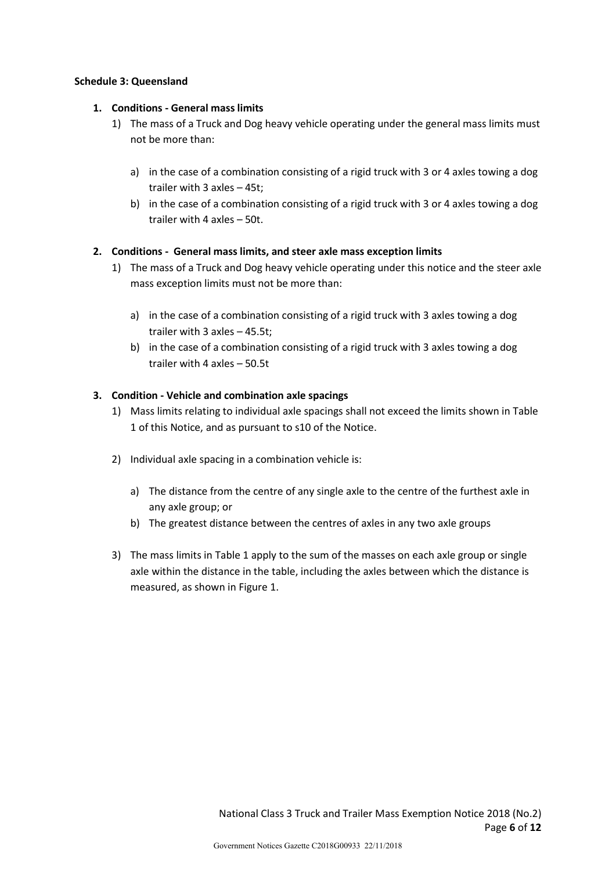#### **Schedule 3: Queensland**

### **1. Conditions - General mass limits**

- 1) The mass of a Truck and Dog heavy vehicle operating under the general mass limits must not be more than:
	- a) in the case of a combination consisting of a rigid truck with 3 or 4 axles towing a dog trailer with 3 axles – 45t;
	- b) in the case of a combination consisting of a rigid truck with 3 or 4 axles towing a dog trailer with 4 axles – 50t.

#### **2. Conditions - General mass limits, and steer axle mass exception limits**

- 1) The mass of a Truck and Dog heavy vehicle operating under this notice and the steer axle mass exception limits must not be more than:
	- a) in the case of a combination consisting of a rigid truck with 3 axles towing a dog trailer with 3 axles – 45.5t;
	- b) in the case of a combination consisting of a rigid truck with 3 axles towing a dog trailer with 4 axles – 50.5t

#### **3. Condition - Vehicle and combination axle spacings**

- 1) Mass limits relating to individual axle spacings shall not exceed the limits shown in Table 1 of this Notice, and as pursuant to s10 of the Notice.
- 2) Individual axle spacing in a combination vehicle is:
	- a) The distance from the centre of any single axle to the centre of the furthest axle in any axle group; or
	- b) The greatest distance between the centres of axles in any two axle groups
- 3) The mass limits in Table 1 apply to the sum of the masses on each axle group or single axle within the distance in the table, including the axles between which the distance is measured, as shown in Figure 1.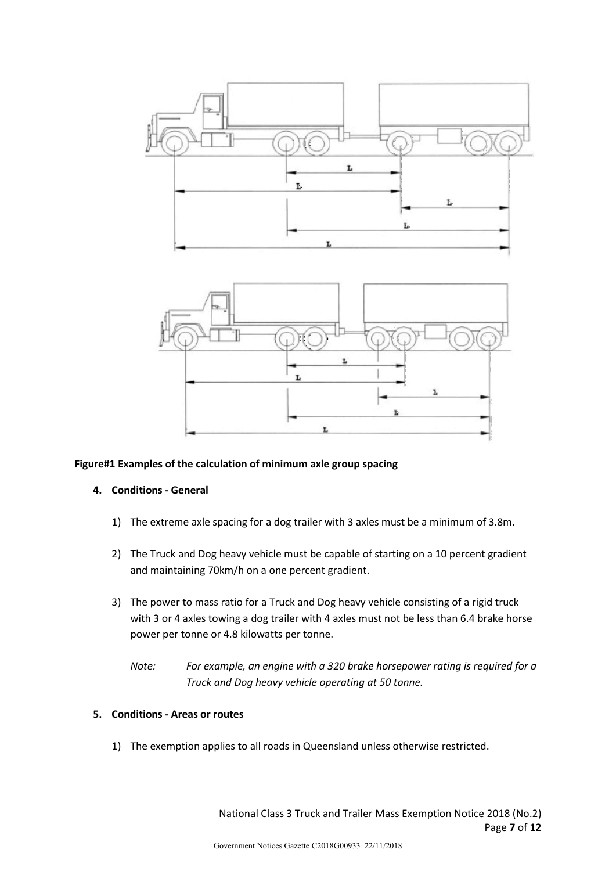

#### **Figure#1 Examples of the calculation of minimum axle group spacing**

#### **4. Conditions - General**

- 1) The extreme axle spacing for a dog trailer with 3 axles must be a minimum of 3.8m.
- 2) The Truck and Dog heavy vehicle must be capable of starting on a 10 percent gradient and maintaining 70km/h on a one percent gradient.
- 3) The power to mass ratio for a Truck and Dog heavy vehicle consisting of a rigid truck with 3 or 4 axles towing a dog trailer with 4 axles must not be less than 6.4 brake horse power per tonne or 4.8 kilowatts per tonne.
	- *Note: For example, an engine with a 320 brake horsepower rating is required for a Truck and Dog heavy vehicle operating at 50 tonne.*

#### **5. Conditions - Areas or routes**

1) The exemption applies to all roads in Queensland unless otherwise restricted.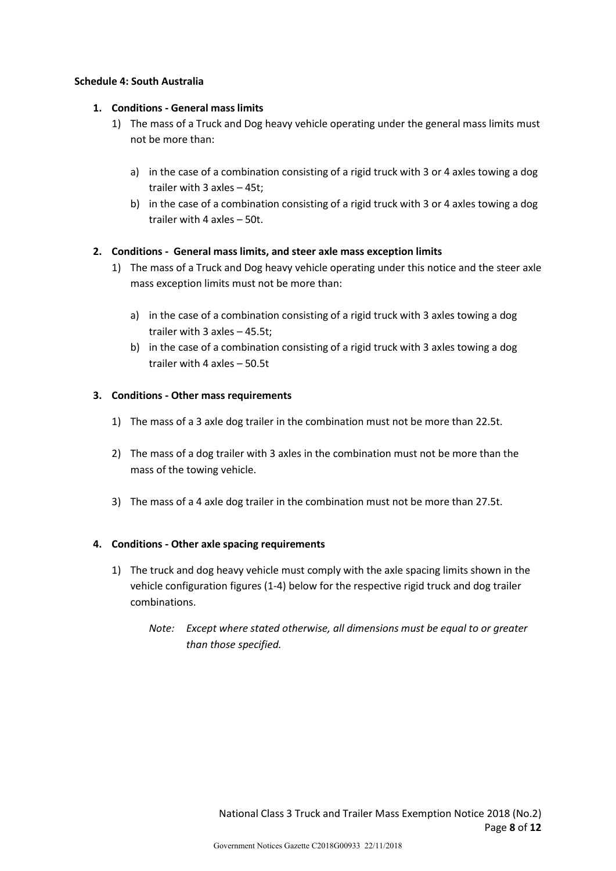#### **Schedule 4: South Australia**

### **1. Conditions - General mass limits**

- 1) The mass of a Truck and Dog heavy vehicle operating under the general mass limits must not be more than:
	- a) in the case of a combination consisting of a rigid truck with 3 or 4 axles towing a dog trailer with 3 axles – 45t;
	- b) in the case of a combination consisting of a rigid truck with 3 or 4 axles towing a dog trailer with 4 axles – 50t.

#### **2. Conditions - General mass limits, and steer axle mass exception limits**

- 1) The mass of a Truck and Dog heavy vehicle operating under this notice and the steer axle mass exception limits must not be more than:
	- a) in the case of a combination consisting of a rigid truck with 3 axles towing a dog trailer with 3 axles – 45.5t;
	- b) in the case of a combination consisting of a rigid truck with 3 axles towing a dog trailer with 4 axles – 50.5t

#### **3. Conditions - Other mass requirements**

- 1) The mass of a 3 axle dog trailer in the combination must not be more than 22.5t.
- 2) The mass of a dog trailer with 3 axles in the combination must not be more than the mass of the towing vehicle.
- 3) The mass of a 4 axle dog trailer in the combination must not be more than 27.5t.

#### **4. Conditions - Other axle spacing requirements**

- 1) The truck and dog heavy vehicle must comply with the axle spacing limits shown in the vehicle configuration figures (1-4) below for the respective rigid truck and dog trailer combinations.
	- *Note: Except where stated otherwise, all dimensions must be equal to or greater than those specified.*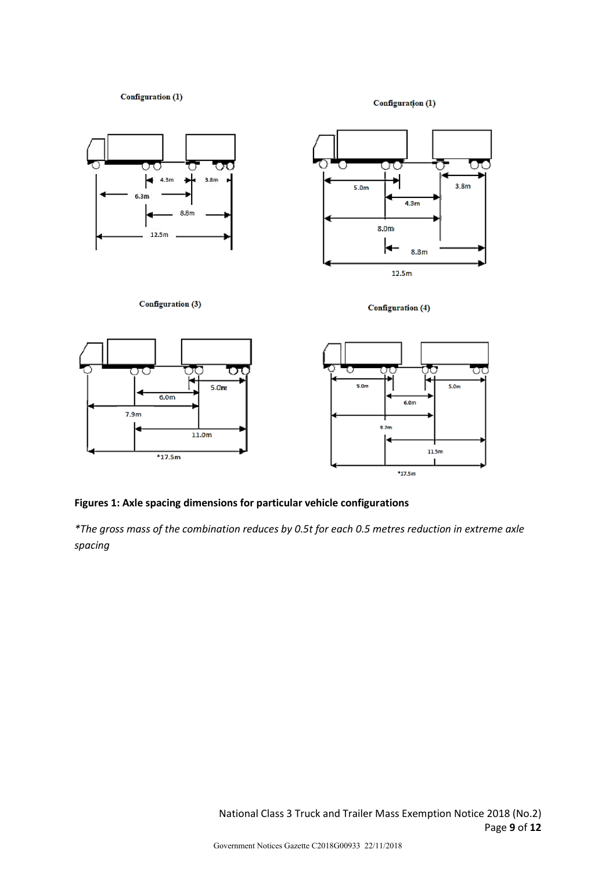Configuration (1)

Configuration (1)

 $*17.5m$ 



#### **Figures 1: Axle spacing dimensions for particular vehicle configurations**

*\*The gross mass of the combination reduces by 0.5t for each 0.5 metres reduction in extreme axle spacing*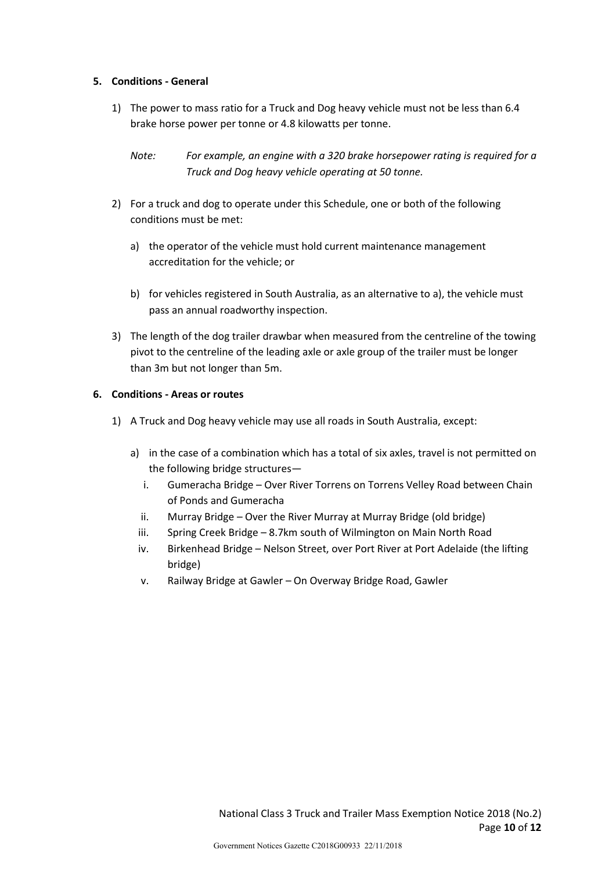#### **5. Conditions - General**

1) The power to mass ratio for a Truck and Dog heavy vehicle must not be less than 6.4 brake horse power per tonne or 4.8 kilowatts per tonne.

## *Note: For example, an engine with a 320 brake horsepower rating is required for a Truck and Dog heavy vehicle operating at 50 tonne.*

- 2) For a truck and dog to operate under this Schedule, one or both of the following conditions must be met:
	- a) the operator of the vehicle must hold current maintenance management accreditation for the vehicle; or
	- b) for vehicles registered in South Australia, as an alternative to a), the vehicle must pass an annual roadworthy inspection.
- 3) The length of the dog trailer drawbar when measured from the centreline of the towing pivot to the centreline of the leading axle or axle group of the trailer must be longer than 3m but not longer than 5m.

#### **6. Conditions - Areas or routes**

- 1) A Truck and Dog heavy vehicle may use all roads in South Australia, except:
	- a) in the case of a combination which has a total of six axles, travel is not permitted on the following bridge structures
		- i. Gumeracha Bridge Over River Torrens on Torrens Velley Road between Chain of Ponds and Gumeracha
		- ii. Murray Bridge Over the River Murray at Murray Bridge (old bridge)
		- iii. Spring Creek Bridge 8.7km south of Wilmington on Main North Road
		- iv. Birkenhead Bridge Nelson Street, over Port River at Port Adelaide (the lifting bridge)
		- v. Railway Bridge at Gawler On Overway Bridge Road, Gawler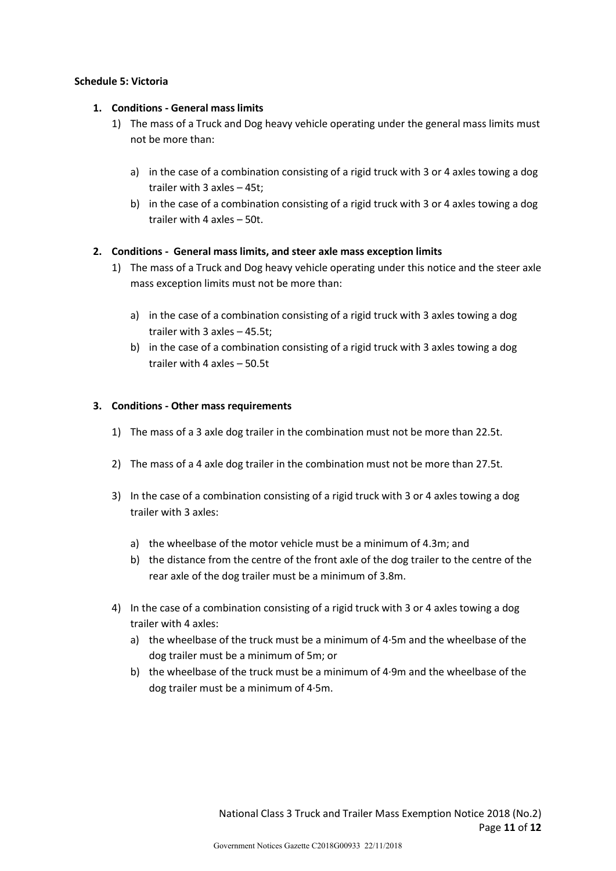#### **Schedule 5: Victoria**

### **1. Conditions - General mass limits**

- 1) The mass of a Truck and Dog heavy vehicle operating under the general mass limits must not be more than:
	- a) in the case of a combination consisting of a rigid truck with 3 or 4 axles towing a dog trailer with 3 axles – 45t;
	- b) in the case of a combination consisting of a rigid truck with 3 or 4 axles towing a dog trailer with 4 axles – 50t.

#### **2. Conditions - General mass limits, and steer axle mass exception limits**

- 1) The mass of a Truck and Dog heavy vehicle operating under this notice and the steer axle mass exception limits must not be more than:
	- a) in the case of a combination consisting of a rigid truck with 3 axles towing a dog trailer with 3 axles – 45.5t;
	- b) in the case of a combination consisting of a rigid truck with 3 axles towing a dog trailer with 4 axles – 50.5t

#### **3. Conditions - Other mass requirements**

- 1) The mass of a 3 axle dog trailer in the combination must not be more than 22.5t.
- 2) The mass of a 4 axle dog trailer in the combination must not be more than 27.5t.
- 3) In the case of a combination consisting of a rigid truck with 3 or 4 axles towing a dog trailer with 3 axles:
	- a) the wheelbase of the motor vehicle must be a minimum of 4.3m; and
	- b) the distance from the centre of the front axle of the dog trailer to the centre of the rear axle of the dog trailer must be a minimum of 3.8m.
- 4) In the case of a combination consisting of a rigid truck with 3 or 4 axles towing a dog trailer with 4 axles:
	- a) the wheelbase of the truck must be a minimum of 4·5m and the wheelbase of the dog trailer must be a minimum of 5m; or
	- b) the wheelbase of the truck must be a minimum of 4·9m and the wheelbase of the dog trailer must be a minimum of 4·5m.